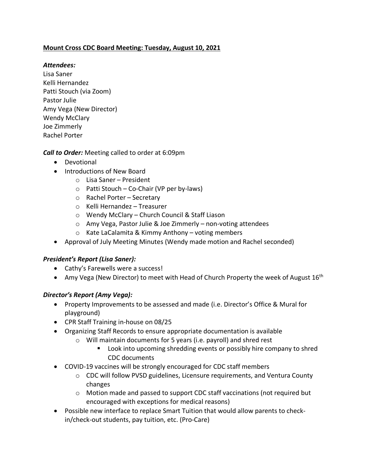## **Mount Cross CDC Board Meeting: Tuesday, August 10, 2021**

## *Attendees:*

Lisa Saner Kelli Hernandez Patti Stouch (via Zoom) Pastor Julie Amy Vega (New Director) Wendy McClary Joe Zimmerly Rachel Porter

*Call to Order:* Meeting called to order at 6:09pm

- Devotional
- Introductions of New Board
	- o Lisa Saner President
	- o Patti Stouch Co-Chair (VP per by-laws)
	- o Rachel Porter Secretary
	- o Kelli Hernandez Treasurer
	- o Wendy McClary Church Council & Staff Liason
	- o Amy Vega, Pastor Julie & Joe Zimmerly non-voting attendees
	- o Kate LaCalamita & Kimmy Anthony voting members
- Approval of July Meeting Minutes (Wendy made motion and Rachel seconded)

# *President's Report (Lisa Saner):*

- Cathy's Farewells were a success!
- Amy Vega (New Director) to meet with Head of Church Property the week of August  $16<sup>th</sup>$

# *Director's Report (Amy Vega):*

- Property Improvements to be assessed and made (i.e. Director's Office & Mural for playground)
- CPR Staff Training in-house on 08/25
- Organizing Staff Records to ensure appropriate documentation is available
	- o Will maintain documents for 5 years (i.e. payroll) and shred rest
		- **E** Look into upcoming shredding events or possibly hire company to shred CDC documents
- COVID-19 vaccines will be strongly encouraged for CDC staff members
	- o CDC will follow PVSD guidelines, Licensure requirements, and Ventura County changes
	- o Motion made and passed to support CDC staff vaccinations (not required but encouraged with exceptions for medical reasons)
- Possible new interface to replace Smart Tuition that would allow parents to checkin/check-out students, pay tuition, etc. (Pro-Care)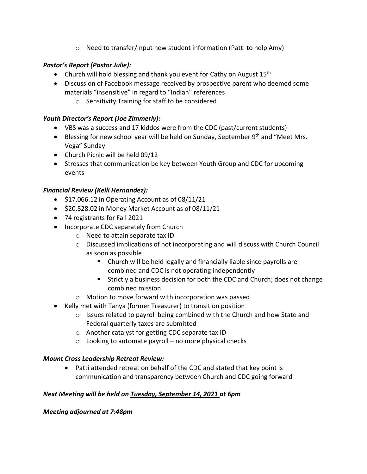$\circ$  Need to transfer/input new student information (Patti to help Amy)

## *Pastor's Report (Pastor Julie):*

- Church will hold blessing and thank you event for Cathy on August  $15<sup>th</sup>$
- Discussion of Facebook message received by prospective parent who deemed some materials "insensitive" in regard to "Indian" references
	- o Sensitivity Training for staff to be considered

### *Youth Director's Report (Joe Zimmerly):*

- VBS was a success and 17 kiddos were from the CDC (past/current students)
- Blessing for new school year will be held on Sunday, September  $9<sup>th</sup>$  and "Meet Mrs. Vega" Sunday
- Church Picnic will be held 09/12
- Stresses that communication be key between Youth Group and CDC for upcoming events

## *Financial Review (Kelli Hernandez):*

- \$17,066.12 in Operating Account as of 08/11/21
- \$20,528.02 in Money Market Account as of 08/11/21
- 74 registrants for Fall 2021
- Incorporate CDC separately from Church
	- o Need to attain separate tax ID
	- $\circ$  Discussed implications of not incorporating and will discuss with Church Council as soon as possible
		- Church will be held legally and financially liable since payrolls are combined and CDC is not operating independently
		- Strictly a business decision for both the CDC and Church; does not change combined mission
	- o Motion to move forward with incorporation was passed
- Kelly met with Tanya (former Treasurer) to transition position
	- $\circ$  Issues related to payroll being combined with the Church and how State and Federal quarterly taxes are submitted
	- o Another catalyst for getting CDC separate tax ID
	- $\circ$  Looking to automate payroll no more physical checks

### *Mount Cross Leadership Retreat Review:*

• Patti attended retreat on behalf of the CDC and stated that key point is communication and transparency between Church and CDC going forward

### *Next Meeting will be held on Tuesday, September 14, 2021 at 6pm*

### *Meeting adjourned at 7:48pm*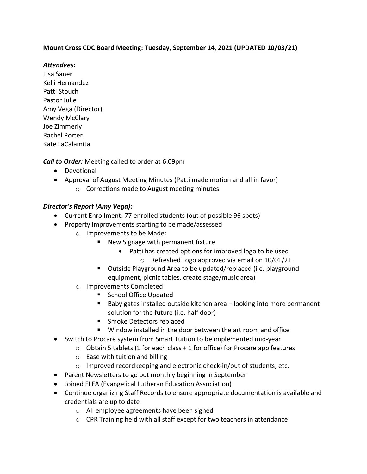## **Mount Cross CDC Board Meeting: Tuesday, September 14, 2021 (UPDATED 10/03/21)**

### *Attendees:*

Lisa Saner Kelli Hernandez Patti Stouch Pastor Julie Amy Vega (Director) Wendy McClary Joe Zimmerly Rachel Porter Kate LaCalamita

*Call to Order:* Meeting called to order at 6:09pm

- Devotional
- Approval of August Meeting Minutes (Patti made motion and all in favor)
	- o Corrections made to August meeting minutes

## *Director's Report (Amy Vega):*

- Current Enrollment: 77 enrolled students (out of possible 96 spots)
- Property Improvements starting to be made/assessed
	- o Improvements to be Made:
		- New Signage with permanent fixture
			- Patti has created options for improved logo to be used
				- o Refreshed Logo approved via email on 10/01/21
		- Outside Playground Area to be updated/replaced (i.e. playground equipment, picnic tables, create stage/music area)
	- o Improvements Completed
		- School Office Updated
		- Baby gates installed outside kitchen area looking into more permanent solution for the future (i.e. half door)
		- **Smoke Detectors replaced**
		- Window installed in the door between the art room and office
- Switch to Procare system from Smart Tuition to be implemented mid-year
	- $\circ$  Obtain 5 tablets (1 for each class + 1 for office) for Procare app features
	- $\circ$  Ease with tuition and billing
	- o Improved recordkeeping and electronic check-in/out of students, etc.
- Parent Newsletters to go out monthly beginning in September
- Joined ELEA (Evangelical Lutheran Education Association)
- Continue organizing Staff Records to ensure appropriate documentation is available and credentials are up to date
	- o All employee agreements have been signed
	- o CPR Training held with all staff except for two teachers in attendance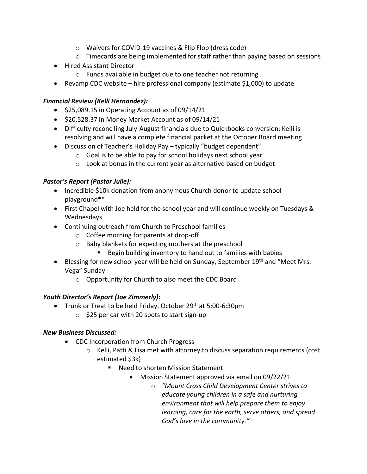- o Waivers for COVID-19 vaccines & Flip Flop (dress code)
- $\circ$  Timecards are being implemented for staff rather than paying based on sessions
- Hired Assistant Director
	- o Funds available in budget due to one teacher not returning
- Revamp CDC website hire professional company (estimate \$1,000) to update

## *Financial Review (Kelli Hernandez):*

- $\bullet$  \$25,089.15 in Operating Account as of 09/14/21
- \$20,528.37 in Money Market Account as of 09/14/21
- Difficulty reconciling July-August financials due to Quickbooks conversion; Kelli is resolving and will have a complete financial packet at the October Board meeting.
- Discussion of Teacher's Holiday Pay typically "budget dependent"
	- o Goal is to be able to pay for school holidays next school year
	- o Look at bonus in the current year as alternative based on budget

# *Pastor's Report (Pastor Julie):*

- Incredible \$10k donation from anonymous Church donor to update school playground\*\*
- First Chapel with Joe held for the school year and will continue weekly on Tuesdays & Wednesdays
- Continuing outreach from Church to Preschool families
	- o Coffee morning for parents at drop-off
	- o Baby blankets for expecting mothers at the preschool
		- Begin building inventory to hand out to families with babies
- $\bullet$  Blessing for new school year will be held on Sunday, September 19<sup>th</sup> and "Meet Mrs. Vega" Sunday
	- o Opportunity for Church to also meet the CDC Board

# *Youth Director's Report (Joe Zimmerly):*

- Trunk or Treat to be held Friday, October 29<sup>th</sup> at 5:00-6:30pm
	- o \$25 per car with 20 spots to start sign-up

# *New Business Discussed:*

- CDC Incorporation from Church Progress
	- $\circ$  Kelli, Patti & Lisa met with attorney to discuss separation requirements (cost estimated \$3k)
		- Need to shorten Mission Statement
			- Mission Statement approved via email on 09/22/21
				- o *"Mount Cross Child Development Center strives to educate young children in a safe and nurturing environment that will help prepare them to enjoy learning, care for the earth, serve others, and spread God's love in the community."*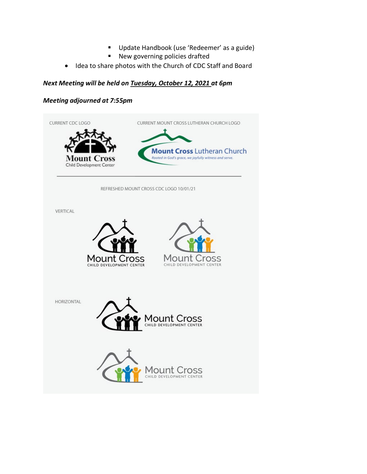- Update Handbook (use 'Redeemer' as a guide)
- New governing policies drafted
- Idea to share photos with the Church of CDC Staff and Board

#### *Next Meeting will be held on Tuesday, October 12, 2021 at 6pm*

#### *Meeting adjourned at 7:55pm*

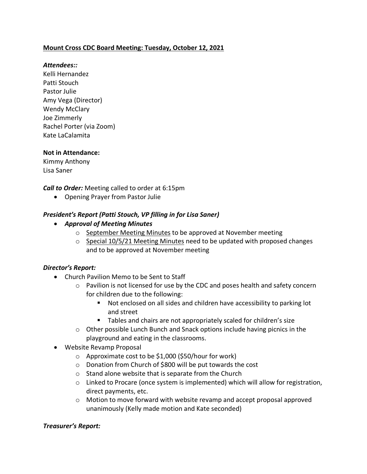### **Mount Cross CDC Board Meeting: Tuesday, October 12, 2021**

#### *Attendees::*

Kelli Hernandez Patti Stouch Pastor Julie Amy Vega (Director) Wendy McClary Joe Zimmerly Rachel Porter (via Zoom) Kate LaCalamita

#### **Not in Attendance:**

Kimmy Anthony Lisa Saner

*Call to Order:* Meeting called to order at 6:15pm

• Opening Prayer from Pastor Julie

#### *President's Report (Patti Stouch, VP filling in for Lisa Saner)*

- *Approval of Meeting Minutes*
	- o September Meeting Minutes to be approved at November meeting
	- $\circ$  Special 10/5/21 Meeting Minutes need to be updated with proposed changes and to be approved at November meeting

#### *Director's Report:*

- Church Pavilion Memo to be Sent to Staff
	- $\circ$  Pavilion is not licensed for use by the CDC and poses health and safety concern for children due to the following:
		- Not enclosed on all sides and children have accessibility to parking lot and street
		- Tables and chairs are not appropriately scaled for children's size
	- $\circ$  Other possible Lunch Bunch and Snack options include having picnics in the playground and eating in the classrooms.
- Website Revamp Proposal
	- o Approximate cost to be \$1,000 (\$50/hour for work)
	- o Donation from Church of \$800 will be put towards the cost
	- o Stand alone website that is separate from the Church
	- $\circ$  Linked to Procare (once system is implemented) which will allow for registration, direct payments, etc.
	- $\circ$  Motion to move forward with website revamp and accept proposal approved unanimously (Kelly made motion and Kate seconded)

#### *Treasurer's Report:*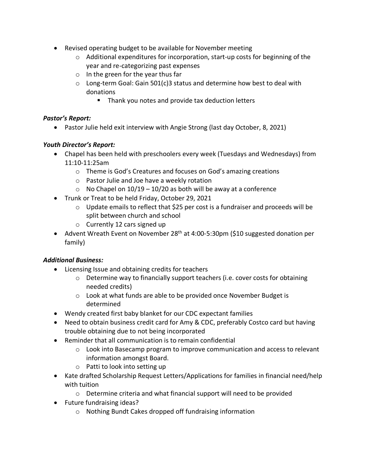- Revised operating budget to be available for November meeting
	- $\circ$  Additional expenditures for incorporation, start-up costs for beginning of the year and re-categorizing past expenses
	- o In the green for the year thus far
	- $\circ$  Long-term Goal: Gain 501(c)3 status and determine how best to deal with donations
		- Thank you notes and provide tax deduction letters

## *Pastor's Report:*

• Pastor Julie held exit interview with Angie Strong (last day October, 8, 2021)

# *Youth Director's Report:*

- Chapel has been held with preschoolers every week (Tuesdays and Wednesdays) from 11:10-11:25am
	- o Theme is God's Creatures and focuses on God's amazing creations
	- o Pastor Julie and Joe have a weekly rotation
	- $\circ$  No Chapel on 10/19 10/20 as both will be away at a conference
- Trunk or Treat to be held Friday, October 29, 2021
	- o Update emails to reflect that \$25 per cost is a fundraiser and proceeds will be split between church and school
	- o Currently 12 cars signed up
- Advent Wreath Event on November 28<sup>th</sup> at 4:00-5:30pm (\$10 suggested donation per family)

# *Additional Business:*

- Licensing Issue and obtaining credits for teachers
	- $\circ$  Determine way to financially support teachers (i.e. cover costs for obtaining needed credits)
	- $\circ$  Look at what funds are able to be provided once November Budget is determined
- Wendy created first baby blanket for our CDC expectant families
- Need to obtain business credit card for Amy & CDC, preferably Costco card but having trouble obtaining due to not being incorporated
- Reminder that all communication is to remain confidential
	- $\circ$  Look into Basecamp program to improve communication and access to relevant information amongst Board.
	- o Patti to look into setting up
- Kate drafted Scholarship Request Letters/Applications for families in financial need/help with tuition
	- o Determine criteria and what financial support will need to be provided
- Future fundraising ideas?
	- o Nothing Bundt Cakes dropped off fundraising information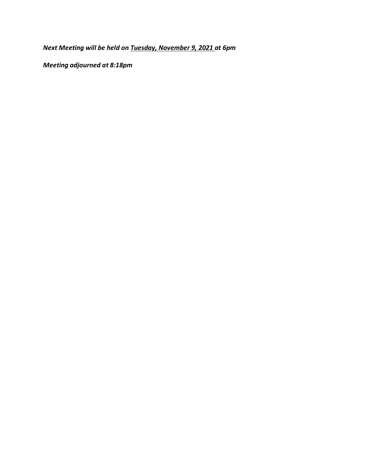*Next Meeting will be held on Tuesday, November 9, 2021 at 6pm* 

*Meeting adjourned at 8:18pm*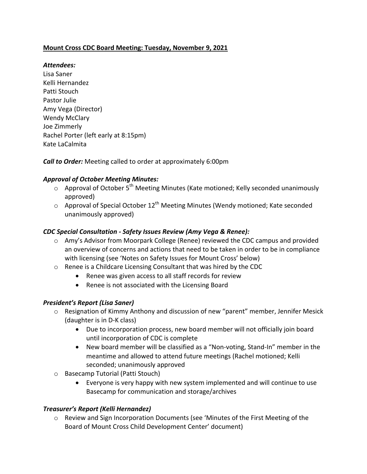## **Mount Cross CDC Board Meeting: Tuesday, November 9, 2021**

## *Attendees:*

Lisa Saner Kelli Hernandez Patti Stouch Pastor Julie Amy Vega (Director) Wendy McClary Joe Zimmerly Rachel Porter (left early at 8:15pm) Kate LaCalmita

*Call to Order:* Meeting called to order at approximately 6:00pm

### *Approval of October Meeting Minutes:*

- $\circ$  Approval of October 5<sup>th</sup> Meeting Minutes (Kate motioned; Kelly seconded unanimously approved)
- $\circ$  Approval of Special October 12<sup>th</sup> Meeting Minutes (Wendy motioned; Kate seconded unanimously approved)

### *CDC Special Consultation - Safety Issues Review (Amy Vega & Renee):*

- $\circ$  Amy's Advisor from Moorpark College (Renee) reviewed the CDC campus and provided an overview of concerns and actions that need to be taken in order to be in compliance with licensing (see 'Notes on Safety Issues for Mount Cross' below)
- $\circ$  Renee is a Childcare Licensing Consultant that was hired by the CDC
	- Renee was given access to all staff records for review
	- Renee is not associated with the Licensing Board

### *President's Report (Lisa Saner)*

- $\circ$  Resignation of Kimmy Anthony and discussion of new "parent" member, Jennifer Mesick (daughter is in D-K class)
	- Due to incorporation process, new board member will not officially join board until incorporation of CDC is complete
	- New board member will be classified as a "Non-voting, Stand-In" member in the meantime and allowed to attend future meetings (Rachel motioned; Kelli seconded; unanimously approved
- $\circ$  Basecamp Tutorial (Patti Stouch)
	- Everyone is very happy with new system implemented and will continue to use Basecamp for communication and storage/archives

### *Treasurer's Report (Kelli Hernandez)*

o Review and Sign Incorporation Documents (see 'Minutes of the First Meeting of the Board of Mount Cross Child Development Center' document)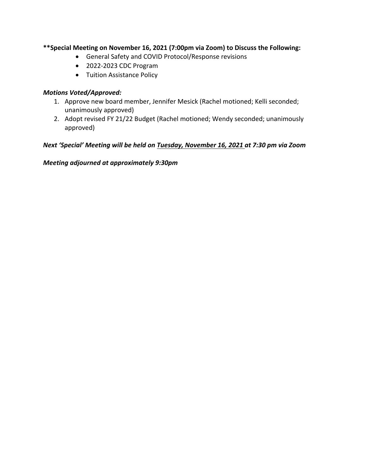## \*\*Special Meeting on November 16, 2021 (7:00pm via Zoom) to Discuss the Following:

- General Safety and COVID Protocol/Response revisions
- 2022-2023 CDC Program
- Tuition Assistance Policy

#### *Motions Voted/Approved:*

- 1. Approve new board member, Jennifer Mesick (Rachel motioned; Kelli seconded; unanimously approved)
- 2. Adopt revised FY 21/22 Budget (Rachel motioned; Wendy seconded; unanimously approved)

*Next* 'Special' Meeting will be held on Tuesday, November 16, 2021 at 7:30 pm via Zoom

*Meeting adjourned at approximately 9:30pm*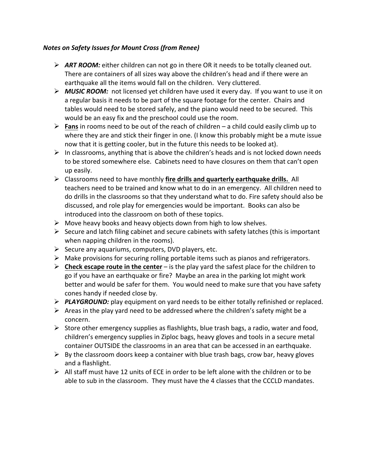#### *Notes on Safety Issues for Mount Cross (from Renee)*

- **► ART ROOM:** either children can not go in there OR it needs to be totally cleaned out. There are containers of all sizes way above the children's head and if there were an earthquake all the items would fall on the children. Very cluttered.
- **► MUSIC ROOM:** not licensed yet children have used it every day. If you want to use it on a regular basis it needs to be part of the square footage for the center. Chairs and tables would need to be stored safely, and the piano would need to be secured. This would be an easy fix and the preschool could use the room.
- **Fans** in rooms need to be out of the reach of children a child could easily climb up to where they are and stick their finger in one. (I know this probably might be a mute issue now that it is getting cooler, but in the future this needs to be looked at).
- $\triangleright$  In classrooms, anything that is above the children's heads and is not locked down needs to be stored somewhere else. Cabinets need to have closures on them that can't open up easily.
- $\triangleright$  Classrooms need to have monthly fire drills and quarterly earthquake drills. All teachers need to be trained and know what to do in an emergency. All children need to do drills in the classrooms so that they understand what to do. Fire safety should also be discussed, and role play for emergencies would be important. Books can also be introduced into the classroom on both of these topics.
- $\triangleright$  Move heavy books and heavy objects down from high to low shelves.
- $\triangleright$  Secure and latch filing cabinet and secure cabinets with safety latches (this is important when napping children in the rooms).
- $\triangleright$  Secure any aquariums, computers, DVD players, etc.
- $\triangleright$  Make provisions for securing rolling portable items such as pianos and refrigerators.
- $\triangleright$  **Check escape route in the center** is the play yard the safest place for the children to go if you have an earthquake or fire? Maybe an area in the parking lot might work better and would be safer for them. You would need to make sure that you have safety cones handy if needed close by.
- **PLAYGROUND:** play equipment on yard needs to be either totally refinished or replaced.
- $\triangleright$  Areas in the play yard need to be addressed where the children's safety might be a concern.
- $\triangleright$  Store other emergency supplies as flashlights, blue trash bags, a radio, water and food, children's emergency supplies in Ziploc bags, heavy gloves and tools in a secure metal container OUTSIDE the classrooms in an area that can be accessed in an earthquake.
- $\triangleright$  By the classroom doors keep a container with blue trash bags, crow bar, heavy gloves and a flashlight.
- $\triangleright$  All staff must have 12 units of ECE in order to be left alone with the children or to be able to sub in the classroom. They must have the 4 classes that the CCCLD mandates.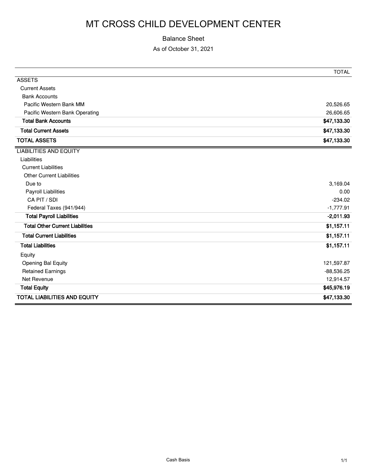#### Balance Sheet

As of October 31, 2021

|                                        | <b>TOTAL</b> |
|----------------------------------------|--------------|
| <b>ASSETS</b>                          |              |
| <b>Current Assets</b>                  |              |
| <b>Bank Accounts</b>                   |              |
| Pacific Western Bank MM                | 20,526.65    |
| Pacific Western Bank Operating         | 26,606.65    |
| <b>Total Bank Accounts</b>             | \$47,133.30  |
| <b>Total Current Assets</b>            | \$47,133.30  |
| <b>TOTAL ASSETS</b>                    | \$47,133.30  |
| <b>LIABILITIES AND EQUITY</b>          |              |
| Liabilities                            |              |
| <b>Current Liabilities</b>             |              |
| <b>Other Current Liabilities</b>       |              |
| Due to                                 | 3,169.04     |
| <b>Payroll Liabilities</b>             | 0.00         |
| CA PIT / SDI                           | $-234.02$    |
| Federal Taxes (941/944)                | $-1,777.91$  |
| <b>Total Payroll Liabilities</b>       | $-2,011.93$  |
| <b>Total Other Current Liabilities</b> | \$1,157.11   |
| <b>Total Current Liabilities</b>       | \$1,157.11   |
| <b>Total Liabilities</b>               | \$1,157.11   |
| Equity                                 |              |
| Opening Bal Equity                     | 121,597.87   |
| <b>Retained Earnings</b>               | $-88,536.25$ |
| Net Revenue                            | 12,914.57    |
| <b>Total Equity</b>                    | \$45,976.19  |
| <b>TOTAL LIABILITIES AND EQUITY</b>    | \$47,133.30  |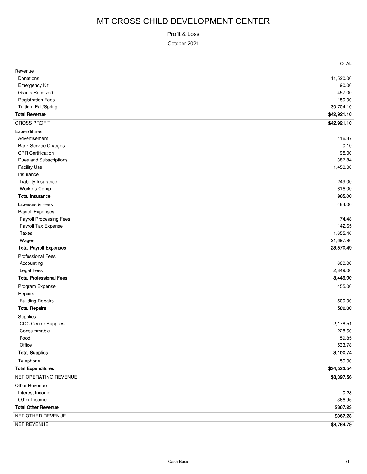Profit & Loss

October 2021

|                                | TOTAL       |
|--------------------------------|-------------|
| Revenue                        |             |
| Donations                      | 11,520.00   |
| <b>Emergency Kit</b>           | 90.00       |
| <b>Grants Received</b>         | 457.00      |
| <b>Registration Fees</b>       | 150.00      |
| Tuition- Fall/Spring           | 30,704.10   |
| <b>Total Revenue</b>           | \$42,921.10 |
| <b>GROSS PROFIT</b>            | \$42,921.10 |
| Expenditures                   |             |
| Advertisement                  | 116.37      |
| <b>Bank Service Charges</b>    | 0.10        |
| <b>CPR Certification</b>       | 95.00       |
| Dues and Subscriptions         | 387.84      |
| <b>Facility Use</b>            | 1,450.00    |
| Insurance                      |             |
| Liability Insurance            | 249.00      |
| <b>Workers Comp</b>            | 616.00      |
| <b>Total Insurance</b>         | 865.00      |
| Licenses & Fees                | 484.00      |
| Payroll Expenses               |             |
| Payroll Processing Fees        | 74.48       |
| Payroll Tax Expense            | 142.65      |
| <b>Taxes</b>                   | 1,655.46    |
| Wages                          | 21,697.90   |
| <b>Total Payroll Expenses</b>  | 23,570.49   |
| <b>Professional Fees</b>       |             |
| Accounting                     | 600.00      |
| Legal Fees                     | 2,849.00    |
| <b>Total Professional Fees</b> | 3,449.00    |
| Program Expense                | 455.00      |
| Repairs                        |             |
| <b>Building Repairs</b>        | 500.00      |
| <b>Total Repairs</b>           | 500.00      |
| Supplies                       |             |
| <b>CDC Center Supplies</b>     | 2,178.51    |
| Consummable                    | 228.60      |
| Food                           | 159.85      |
| Office                         | 533.78      |
| <b>Total Supplies</b>          | 3,100.74    |
| Telephone                      | 50.00       |
| <b>Total Expenditures</b>      | \$34,523.54 |
| NET OPERATING REVENUE          | \$8,397.56  |
| Other Revenue                  |             |
| Interest Income                | 0.28        |
| Other Income                   | 366.95      |
| <b>Total Other Revenue</b>     | \$367.23    |
|                                |             |
| NET OTHER REVENUE              | \$367.23    |
| NET REVENUE                    | \$8,764.79  |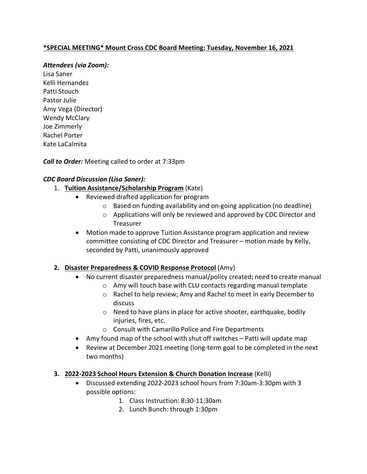## **\*SPECIAL MEETING\* Mount Cross CDC Board Meeting: Tuesday, November 16, 2021**

#### *Attendees (via Zoom):*

Lisa Saner Kelli Hernandez Patti Stouch Pastor Julie Amy Vega (Director) Wendy McClary Joe Zimmerly Rachel Porter Kate LaCalmita

*Call to Order:* Meeting called to order at 7:33pm

## *CDC Board Discussion (Lisa Saner):*

- 1. **Tuition Assistance/Scholarship Program** (Kate)
	- Reviewed drafted application for program
		- $\circ$  Based on funding availability and on-going application (no deadline)
		- $\circ$  Applications will only be reviewed and approved by CDC Director and Treasurer
	- Motion made to approve Tuition Assistance program application and review committee consisting of CDC Director and Treasurer – motion made by Kelly, seconded by Patti, unanimously approved

### **2. Disaster Preparedness & COVID Response Protocol** (Amy)

- No current disaster preparedness manual/policy created; need to create manual
	- o Amy will touch base with CLU contacts regarding manual template
	- o Rachel to help review; Amy and Rachel to meet in early December to discuss
	- o Need to have plans in place for active shooter, earthquake, bodily injuries, fires, etc.
	- o Consult with Camarillo Police and Fire Departments
- Amy found map of the school with shut off switches Patti will update map
- Review at December 2021 meeting (long-term goal to be completed in the next two months)

### **3. 2022-2023 School Hours Extension & Church Donation Increase** (Kelli)

- Discussed extending 2022-2023 school hours from 7:30am-3:30pm with 3 possible options:
	- 1. Class Instruction: 8:30-11:30am
	- 2. Lunch Bunch: through 1:30pm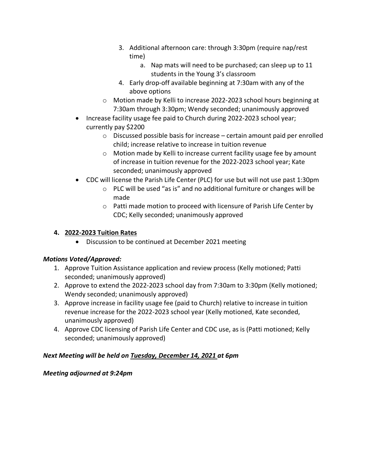- 3. Additional afternoon care: through 3:30pm (require nap/rest time)
	- a. Nap mats will need to be purchased; can sleep up to 11 students in the Young 3's classroom
- 4. Early drop-off available beginning at 7:30am with any of the above options
- o Motion made by Kelli to increase 2022-2023 school hours beginning at 7:30am through 3:30pm; Wendy seconded; unanimously approved
- Increase facility usage fee paid to Church during 2022-2023 school year; currently pay \$2200
	- o Discussed possible basis for increase certain amount paid per enrolled child; increase relative to increase in tuition revenue
	- $\circ$  Motion made by Kelli to increase current facility usage fee by amount of increase in tuition revenue for the 2022-2023 school year; Kate seconded; unanimously approved
- CDC will license the Parish Life Center (PLC) for use but will not use past 1:30pm
	- o PLC will be used "as is" and no additional furniture or changes will be made
	- $\circ$  Patti made motion to proceed with licensure of Parish Life Center by CDC; Kelly seconded; unanimously approved

# **4. 2022-2023 Tuition Rates**

• Discussion to be continued at December 2021 meeting

# *Motions Voted/Approved:*

- 1. Approve Tuition Assistance application and review process (Kelly motioned; Patti seconded; unanimously approved)
- 2. Approve to extend the 2022-2023 school day from 7:30am to 3:30pm (Kelly motioned; Wendy seconded; unanimously approved)
- 3. Approve increase in facility usage fee (paid to Church) relative to increase in tuition revenue increase for the 2022-2023 school year (Kelly motioned, Kate seconded, unanimously approved)
- 4. Approve CDC licensing of Parish Life Center and CDC use, as is (Patti motioned; Kelly seconded; unanimously approved)

# *Next Meeting will be held on Tuesday, December 14, 2021 at 6pm*

# *Meeting adjourned at 9:24pm*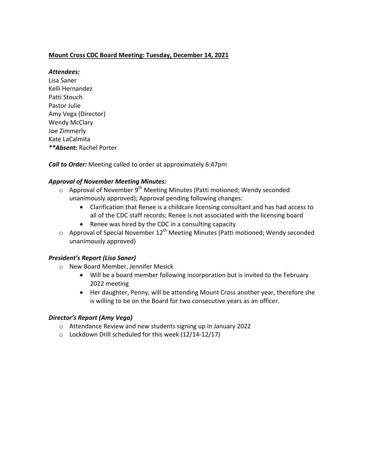#### **Mount Cross CDC Board Meeting: Tuesday, December 14, 2021**

#### *Attendees:*

Lisa Saner Kelli Hernandez Patti Stouch Pastor Julie Amy Vega (Director) Wendy McClary Joe Zimmerly Kate LaCalmita *\*\*Absent:* Rachel Porter

**Call to Order:** Meeting called to order at approximately 6:47pm

#### *Approval of November Meeting Minutes:*

- $\circ$  Approval of November 9<sup>th</sup> Meeting Minutes (Patti motioned; Wendy seconded unanimously approved); Approval pending following changes:
	- Clarification that Renee is a childcare licensing consultant and has had access to all of the CDC staff records; Renee is not associated with the licensing board
	- Renee was hired by the CDC in a consulting capacity
- $\circ$  Approval of Special November 12<sup>th</sup> Meeting Minutes (Patti motioned; Wendy seconded unanimously approved)

#### *President's Report (Lisa Saner)*

- o New Board Member, Jennifer Mesick
	- Will be a board member following incorporation but is invited to the February 2022 meeting
	- Her daughter, Penny, will be attending Mount Cross another year, therefore she is willing to be on the Board for two consecutive years as an officer.

#### *Director's Report (Amy Vega)*

- o Attendance Review and new students signing up in January 2022
- $\circ$  Lockdown Drill scheduled for this week (12/14-12/17)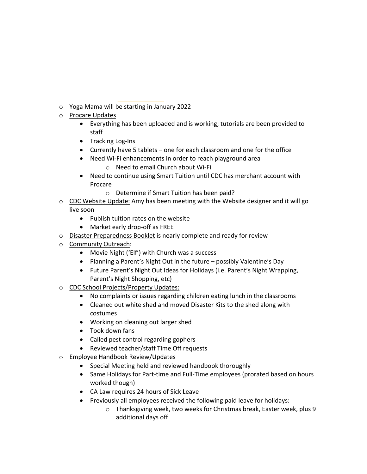- o Yoga Mama will be starting in January 2022
- o Procare Updates
	- Everything has been uploaded and is working; tutorials are been provided to staff
	- Tracking Log-Ins
	- Currently have 5 tablets one for each classroom and one for the office
	- Need Wi-Fi enhancements in order to reach playground area
		- $\circ$  Need to email Church about Wi-Fi
	- Need to continue using Smart Tuition until CDC has merchant account with Procare
		- $\circ$  Determine if Smart Tuition has been paid?
- $\circ$  CDC Website Update: Amy has been meeting with the Website designer and it will go live soon
	- Publish tuition rates on the website
	- Market early drop-off as FREE
- $\circ$  Disaster Preparedness Booklet is nearly complete and ready for review
- o Community Outreach:
	- Movie Night ('Elf') with Church was a success
	- Planning a Parent's Night Out in the future possibly Valentine's Day
	- Future Parent's Night Out Ideas for Holidays (i.e. Parent's Night Wrapping, Parent's Night Shopping, etc)
- CDC School Projects/Property Updates:
	- No complaints or issues regarding children eating lunch in the classrooms
	- Cleaned out white shed and moved Disaster Kits to the shed along with costumes
	- Working on cleaning out larger shed
	- Took down fans
	- Called pest control regarding gophers
	- Reviewed teacher/staff Time Off requests
- o Employee Handbook Review/Updates
	- Special Meeting held and reviewed handbook thoroughly
	- Same Holidays for Part-time and Full-Time employees (prorated based on hours worked though)
	- CA Law requires 24 hours of Sick Leave
	- Previously all employees received the following paid leave for holidays:
		- $\circ$  Thanksgiving week, two weeks for Christmas break, Easter week, plus 9 additional days off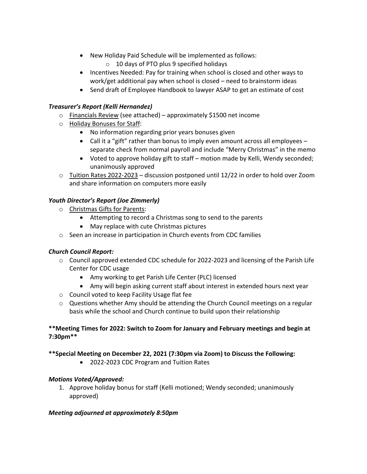- New Holiday Paid Schedule will be implemented as follows:
	- $\circ$  10 days of PTO plus 9 specified holidays
- Incentives Needed: Pay for training when school is closed and other ways to work/get additional pay when school is closed  $-$  need to brainstorm ideas
- Send draft of Employee Handbook to lawyer ASAP to get an estimate of cost

#### *Treasurer's Report (Kelli Hernandez)*

- $\circ$  Financials Review (see attached) approximately \$1500 net income
- o Holiday Bonuses for Staff:
	- No information regarding prior years bonuses given
	- Call it a "gift" rather than bonus to imply even amount across all employees separate check from normal payroll and include "Merry Christmas" in the memo
	- Voted to approve holiday gift to staff motion made by Kelli, Wendy seconded; unanimously approved
- $\circ$  Tuition Rates 2022-2023 discussion postponed until 12/22 in order to hold over Zoom and share information on computers more easily

#### *Youth Director's Report (Joe Zimmerly)*

- $\circ$  Christmas Gifts for Parents:
	- Attempting to record a Christmas song to send to the parents
	- May replace with cute Christmas pictures
- $\circ$  Seen an increase in participation in Church events from CDC families

#### *Church Council Report:*

- $\circ$  Council approved extended CDC schedule for 2022-2023 and licensing of the Parish Life Center for CDC usage
	- Amy working to get Parish Life Center (PLC) licensed
	- Amy will begin asking current staff about interest in extended hours next year
- $\circ$  Council voted to keep Facility Usage flat fee
- $\circ$  Questions whether Amy should be attending the Church Council meetings on a regular basis while the school and Church continue to build upon their relationship

#### \*\*Meeting Times for 2022: Switch to Zoom for January and February meetings and begin at **7:30pm\*\***

#### **\*\*Special Meeting on December 22, 2021 (7:30pm via Zoom) to Discuss the Following:**

• 2022-2023 CDC Program and Tuition Rates

#### *Motions Voted/Approved:*

1. Approve holiday bonus for staff (Kelli motioned; Wendy seconded; unanimously approved)

#### *Meeting adjourned at approximately 8:50pm*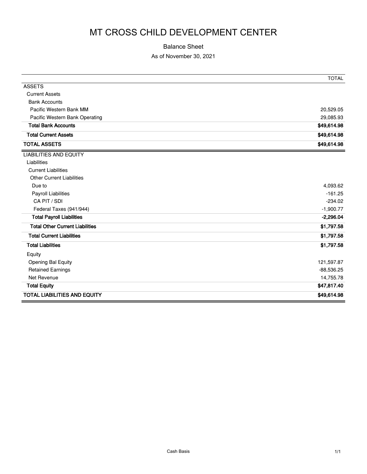#### Balance Sheet

#### As of November 30, 2021

|                                        | <b>TOTAL</b> |
|----------------------------------------|--------------|
| <b>ASSETS</b>                          |              |
| <b>Current Assets</b>                  |              |
| <b>Bank Accounts</b>                   |              |
| Pacific Western Bank MM                | 20,529.05    |
| Pacific Western Bank Operating         | 29,085.93    |
| <b>Total Bank Accounts</b>             | \$49,614.98  |
| <b>Total Current Assets</b>            | \$49,614.98  |
| <b>TOTAL ASSETS</b>                    | \$49,614.98  |
| <b>LIABILITIES AND EQUITY</b>          |              |
| Liabilities                            |              |
| <b>Current Liabilities</b>             |              |
| <b>Other Current Liabilities</b>       |              |
| Due to                                 | 4,093.62     |
| <b>Payroll Liabilities</b>             | $-161.25$    |
| CA PIT / SDI                           | $-234.02$    |
| Federal Taxes (941/944)                | $-1,900.77$  |
| <b>Total Payroll Liabilities</b>       | $-2,296.04$  |
| <b>Total Other Current Liabilities</b> | \$1,797.58   |
| <b>Total Current Liabilities</b>       | \$1,797.58   |
| <b>Total Liabilities</b>               | \$1,797.58   |
| Equity                                 |              |
| Opening Bal Equity                     | 121,597.87   |
| <b>Retained Earnings</b>               | $-88,536.25$ |
| Net Revenue                            | 14,755.78    |
| <b>Total Equity</b>                    | \$47,817.40  |
| <b>TOTAL LIABILITIES AND EQUITY</b>    | \$49,614.98  |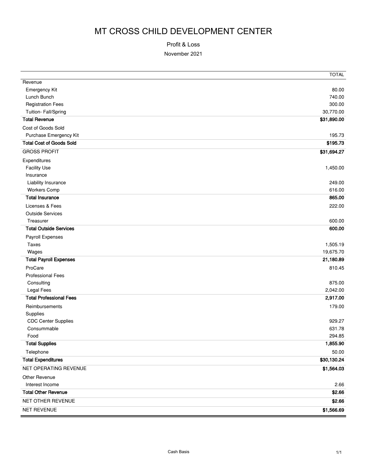#### Profit & Loss

November 2021

|                                 | <b>TOTAL</b> |
|---------------------------------|--------------|
| Revenue                         |              |
| <b>Emergency Kit</b>            | 80.00        |
| Lunch Bunch                     | 740.00       |
| <b>Registration Fees</b>        | 300.00       |
| Tuition- Fall/Spring            | 30,770.00    |
| <b>Total Revenue</b>            | \$31,890.00  |
| Cost of Goods Sold              |              |
| Purchase Emergency Kit          | 195.73       |
| <b>Total Cost of Goods Sold</b> | \$195.73     |
| <b>GROSS PROFIT</b>             | \$31,694.27  |
| Expenditures                    |              |
| <b>Facility Use</b>             | 1,450.00     |
| Insurance                       |              |
| Liability Insurance             | 249.00       |
| <b>Workers Comp</b>             | 616.00       |
| <b>Total Insurance</b>          | 865.00       |
| Licenses & Fees                 | 222.00       |
| <b>Outside Services</b>         |              |
| Treasurer                       | 600.00       |
| <b>Total Outside Services</b>   | 600.00       |
| Payroll Expenses                |              |
| Taxes                           | 1,505.19     |
| Wages                           | 19,675.70    |
| <b>Total Payroll Expenses</b>   | 21,180.89    |
| ProCare                         | 810.45       |
| <b>Professional Fees</b>        |              |
| Consulting                      | 875.00       |
| <b>Legal Fees</b>               | 2,042.00     |
| <b>Total Professional Fees</b>  | 2,917.00     |
| Reimbursements                  | 179.00       |
| Supplies                        |              |
| <b>CDC Center Supplies</b>      | 929.27       |
| Consummable                     | 631.78       |
| Food                            | 294.85       |
| <b>Total Supplies</b>           | 1,855.90     |
| Telephone                       | 50.00        |
| <b>Total Expenditures</b>       | \$30,130.24  |
| NET OPERATING REVENUE           | \$1,564.03   |
| <b>Other Revenue</b>            |              |
| Interest Income                 | 2.66         |
| <b>Total Other Revenue</b>      | \$2.66       |
| NET OTHER REVENUE               | \$2.66       |
| NET REVENUE                     | \$1,566.69   |